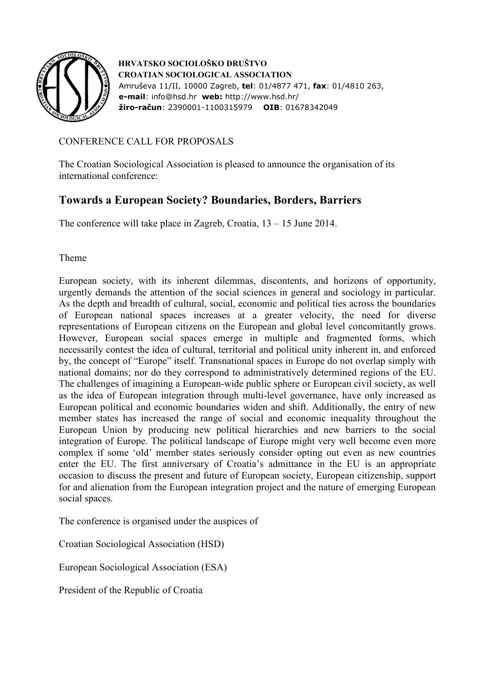

 **HRVATSKO SOCIOLOŠKO DRUŠTVO CROATIAN SOCIOLOGICAL ASSOCIATION**  Amruševa 11/II, 10000 Zagreb, **tel**: 01/4877 471, **fax**: 01/4810 263,  **e-mail**: info@hsd.hr **web:** http://www.hsd.hr/  **žiro-račun**: 2390001-1100315979 **OIB**: 01678342049

## CONFERENCE CALL FOR PROPOSALS

The Croatian Sociological Association is pleased to announce the organisation of its international conference:

# **Towards a European Society? Boundaries, Borders, Barriers**

The conference will take place in Zagreb, Croatia, 13 – 15 June 2014.

Theme

European society, with its inherent dilemmas, discontents, and horizons of opportunity, urgently demands the attention of the social sciences in general and sociology in particular. As the depth and breadth of cultural, social, economic and political ties across the boundaries of European national spaces increases at a greater velocity, the need for diverse representations of European citizens on the European and global level concomitantly grows. However, European social spaces emerge in multiple and fragmented forms, which necessarily contest the idea of cultural, territorial and political unity inherent in, and enforced by, the concept of "Europe" itself. Transnational spaces in Europe do not overlap simply with national domains; nor do they correspond to administratively determined regions of the EU. The challenges of imagining a European-wide public sphere or European civil society, as well as the idea of European integration through multi-level governance, have only increased as European political and economic boundaries widen and shift. Additionally, the entry of new member states has increased the range of social and economic inequality throughout the European Union by producing new political hierarchies and new barriers to the social integration of Europe. The political landscape of Europe might very well become even more complex if some 'old' member states seriously consider opting out even as new countries enter the EU. The first anniversary of Croatia's admittance in the EU is an appropriate occasion to discuss the present and future of European society, European citizenship, support for and alienation from the European integration project and the nature of emerging European social spaces.

The conference is organised under the auspices of

Croatian Sociological Association (HSD)

European Sociological Association (ESA)

President of the Republic of Croatia